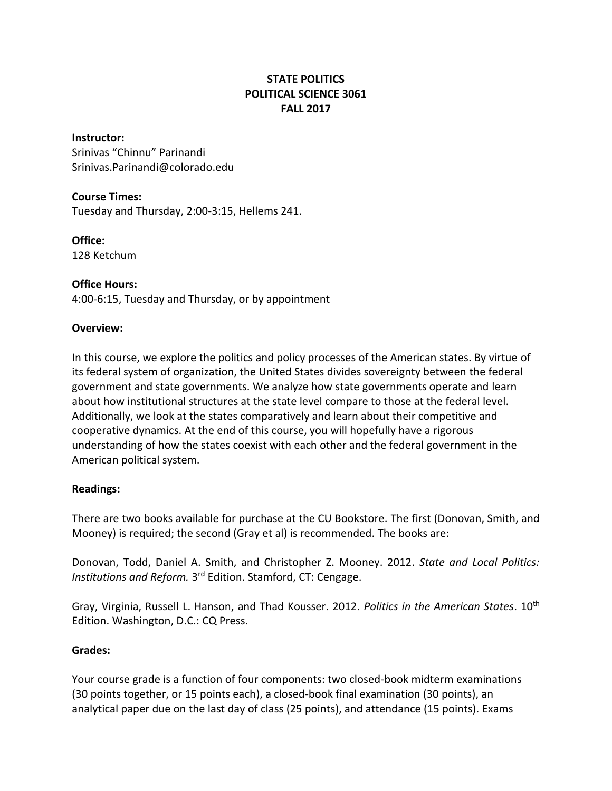# **STATE POLITICS POLITICAL SCIENCE 3061 FALL 2017**

#### **Instructor:**

Srinivas "Chinnu" Parinandi Srinivas.Parinandi@colorado.edu

#### **Course Times:**

Tuesday and Thursday, 2:00-3:15, Hellems 241.

# **Office:**

128 Ketchum

**Office Hours:** 4:00-6:15, Tuesday and Thursday, or by appointment

#### **Overview:**

In this course, we explore the politics and policy processes of the American states. By virtue of its federal system of organization, the United States divides sovereignty between the federal government and state governments. We analyze how state governments operate and learn about how institutional structures at the state level compare to those at the federal level. Additionally, we look at the states comparatively and learn about their competitive and cooperative dynamics. At the end of this course, you will hopefully have a rigorous understanding of how the states coexist with each other and the federal government in the American political system.

#### **Readings:**

There are two books available for purchase at the CU Bookstore. The first (Donovan, Smith, and Mooney) is required; the second (Gray et al) is recommended. The books are:

Donovan, Todd, Daniel A. Smith, and Christopher Z. Mooney. 2012. *State and Local Politics:*  Institutions and Reform. 3<sup>rd</sup> Edition. Stamford, CT: Cengage.

Gray, Virginia, Russell L. Hanson, and Thad Kousser. 2012. *Politics in the American States*. 10th Edition. Washington, D.C.: CQ Press.

## **Grades:**

Your course grade is a function of four components: two closed-book midterm examinations (30 points together, or 15 points each), a closed-book final examination (30 points), an analytical paper due on the last day of class (25 points), and attendance (15 points). Exams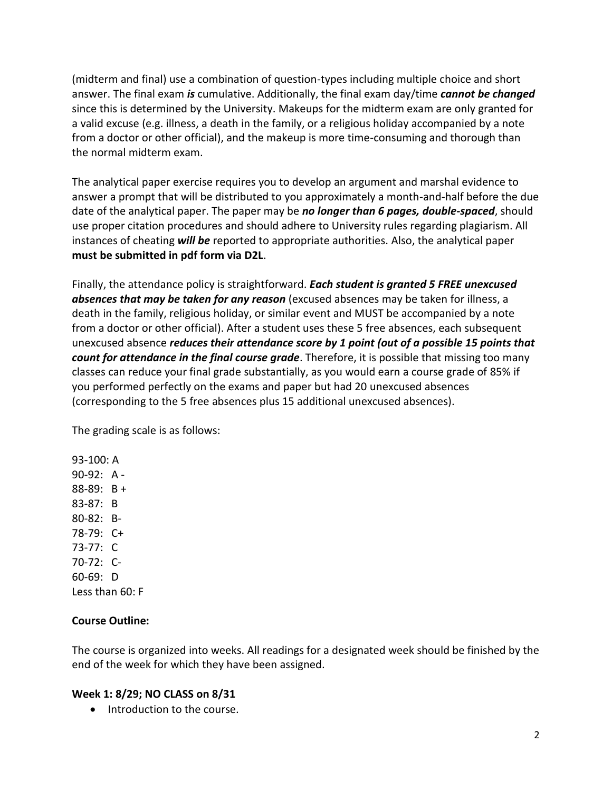(midterm and final) use a combination of question-types including multiple choice and short answer. The final exam *is* cumulative. Additionally, the final exam day/time *cannot be changed* since this is determined by the University. Makeups for the midterm exam are only granted for a valid excuse (e.g. illness, a death in the family, or a religious holiday accompanied by a note from a doctor or other official), and the makeup is more time-consuming and thorough than the normal midterm exam.

The analytical paper exercise requires you to develop an argument and marshal evidence to answer a prompt that will be distributed to you approximately a month-and-half before the due date of the analytical paper. The paper may be *no longer than 6 pages, double-spaced*, should use proper citation procedures and should adhere to University rules regarding plagiarism. All instances of cheating *will be* reported to appropriate authorities. Also, the analytical paper **must be submitted in pdf form via D2L**.

Finally, the attendance policy is straightforward. *Each student is granted 5 FREE unexcused absences that may be taken for any reason* (excused absences may be taken for illness, a death in the family, religious holiday, or similar event and MUST be accompanied by a note from a doctor or other official). After a student uses these 5 free absences, each subsequent unexcused absence *reduces their attendance score by 1 point (out of a possible 15 points that count for attendance in the final course grade*. Therefore, it is possible that missing too many classes can reduce your final grade substantially, as you would earn a course grade of 85% if you performed perfectly on the exams and paper but had 20 unexcused absences (corresponding to the 5 free absences plus 15 additional unexcused absences).

The grading scale is as follows:

93-100: A 90-92: A - 88-89: B + 83-87: B 80-82: B-78-79: C+ 73-77: C 70-72: C-60-69: D Less than 60: F

## **Course Outline:**

The course is organized into weeks. All readings for a designated week should be finished by the end of the week for which they have been assigned.

#### **Week 1: 8/29; NO CLASS on 8/31**

• Introduction to the course.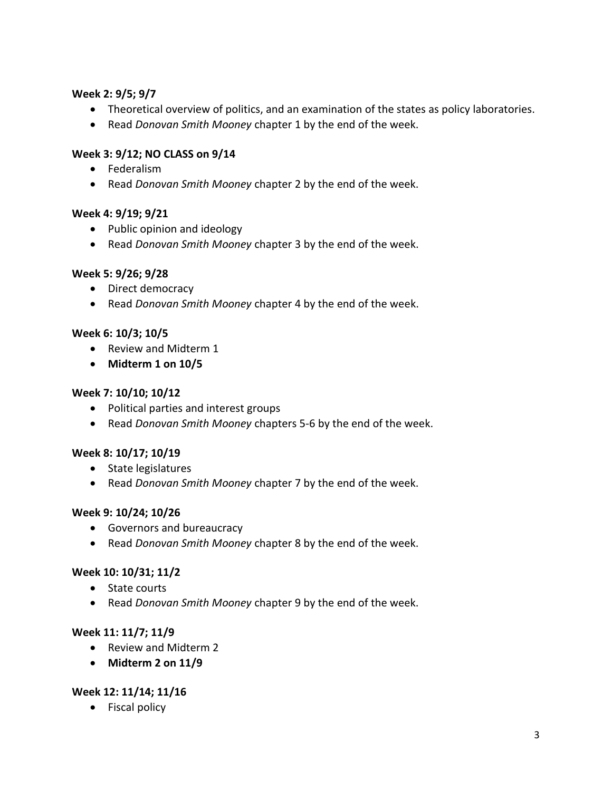## **Week 2: 9/5; 9/7**

- Theoretical overview of politics, and an examination of the states as policy laboratories.
- Read *Donovan Smith Mooney* chapter 1 by the end of the week.

## **Week 3: 9/12; NO CLASS on 9/14**

- Federalism
- Read *Donovan Smith Mooney* chapter 2 by the end of the week.

## **Week 4: 9/19; 9/21**

- Public opinion and ideology
- Read *Donovan Smith Mooney* chapter 3 by the end of the week.

#### **Week 5: 9/26; 9/28**

- Direct democracy
- Read *Donovan Smith Mooney* chapter 4 by the end of the week.

#### **Week 6: 10/3; 10/5**

- Review and Midterm 1
- **Midterm 1 on 10/5**

#### **Week 7: 10/10; 10/12**

- Political parties and interest groups
- Read *Donovan Smith Mooney* chapters 5-6 by the end of the week.

#### **Week 8: 10/17; 10/19**

- State legislatures
- Read *Donovan Smith Mooney* chapter 7 by the end of the week.

#### **Week 9: 10/24; 10/26**

- Governors and bureaucracy
- Read *Donovan Smith Mooney* chapter 8 by the end of the week.

#### **Week 10: 10/31; 11/2**

- State courts
- Read *Donovan Smith Mooney* chapter 9 by the end of the week.

#### **Week 11: 11/7; 11/9**

- Review and Midterm 2
- **Midterm 2 on 11/9**

#### **Week 12: 11/14; 11/16**

• Fiscal policy